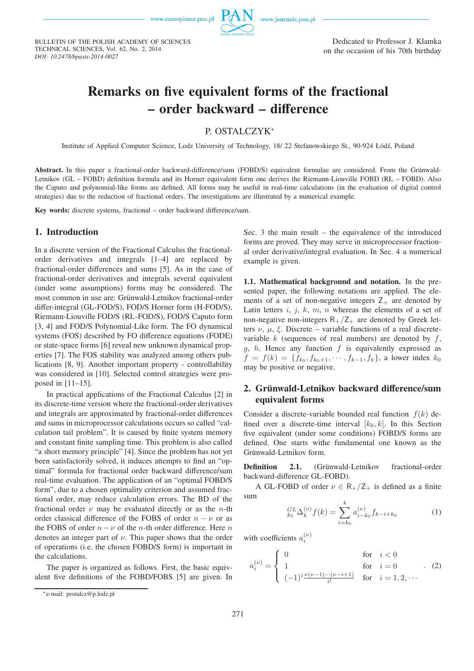

BULLETIN OF THE POLISH ACADEMY OF SCIENCES TECHNICAL SCIENCES, Vol. 62, No. 2, 2014 *DOI: 10.2478/bpasts-2014-0027*

# **Remarks on five equivalent forms of the fractional – order backward – difference**

## P. OSTALCZYK<sup>∗</sup>

Institute of Applied Computer Science, Lodz University of Technology, 18/ 22 Stefanowskiego St., 90-924 Łódź, Poland

Abstract. In this paper a fractional-order backward-difference/sum (FOBD/S) equivalent formulae are considered. From the Grünwald-Letnikov (GL – FOBD) definition formula and its Horner equivalent form one derives the Riemann-Liouville FOBD (RL – FOBD). Also the Caputo and polynomial-like forms are defined. All forms may be useful in real-time calculations (in the evaluation of digital control strategies) due to the reduction of fractional orders. The investigations are illustrated by a numerical example.

**Key words:** discrete systems, fractional – order backward difference/sum.

#### **1. Introduction**

In a discrete version of the Fractional Calculus the fractionalorder derivatives and integrals [1–4] are replaced by fractional-order differences and sums [5]. As in the case of fractional-order derivatives and integrals several equivalent (under some assumptions) forms may be considered. The most common in use are: Grünwald-Letnikov fractional-order differ-integral (GL-FOD/S), FOD/S Horner form (H-FOD/S), Riemann-Liouville FOD/S (RL-FOD/S), FOD/S Caputo form [3, 4] and FOD/S Polynomial-Like form. The FO dynamical systems (FOS) described by FO difference equations (FODE) or state-space forms [6] reveal new unknown dynamical properties [7]. The FOS stability was analyzed among others publications [8, 9]. Another important property - controllability was considered in [10]. Selected control strategies were proposed in [11–15].

In practical applications of the Fractional Calculus [2] in its discrete-time version where the fractional-order derivatives and integrals are approximated by fractional-order differences and sums in microprocessor calculations occurs so called "calculation tail problem". It is caused by finite system memory and constant finite sampling time. This problem is also called "a short memory principle" [4]. Since the problem has not yet been satisfactorily solved, it induces attempts to find an "optimal" formula for fractional order backward difference/sum real-time evaluation. The application of an "optimal FOBD/S form", due to a chosen optimality criterion and assumed fractional order, may reduce calculation errors. The BD of the fractional order  $\nu$  may be evaluated directly or as the *n*-th order classical difference of the FOBS of order  $n - \nu$  or as the FOBS of order  $n - \nu$  of the *n*-th order difference. Here *n* denotes an integer part of  $\nu$ . This paper shows that the order of operations (i.e. the chosen FOBD/S form) is important in the calculations.

The paper is organized as follows. First, the basic equivalent five definitions of the FOBD/FOBS [5] are given. In Sec. 3 the main result – the equivalence of the introduced forms are proved. They may serve in microprocessor fractional order derivative/integral evaluation. In Sec. 4 a numerical example is given.

**1.1. Mathematical background and notation.** In the presented paper, the following notations are applied. The elements of a set of non-negative integers  $Z_+$  are denoted by Latin letters  $i, j, k, m, n$  whereas the elements of a set of non-negative non-integers  $R_{+}/Z_{+}$  are denoted by Greek letters  $\nu$ ,  $\mu$ ,  $\xi$ . Discrete – variable functions of a real discretevariable  $k$  (sequences of real numbers) are denoted by  $f$ , g, h. Hence any function  $f$  is equivalently expressed as  $f = f(k) = \{f_{k_0}, f_{k_0+1}, \cdots, f_{k-1}, f_k\}$ , a lower index  $k_0$ may be positive or negative.

## 2. Grünwald-Letnikov backward difference/sum **equivalent forms**

Consider a discrete-variable bounded real function  $f(k)$  defined over a discrete-time interval  $[k_0, k]$ . In this Section five equivalent (under some conditions) FOBD/S forms are defined. One starts withe fundamental one known as the Grünwald-Letnikov form.

**Definition 2.1.** (Grünwald-Letnikov fractional-order backward-difference GL-FOBD).

A GL-FOBD of order  $\nu \in R_{+}/Z_{+}$  is defined as a finite sum

$$
{}_{k_0}^{GL} \Delta_k^{(\nu)} f(k) = \sum_{i=k_0}^k a_{i-k_0}^{(\nu)} f_{k-i+k_0}
$$
 (1)

with coefficients  $a_i^{(\nu)}$ 

$$
a_i^{(\nu)} = \begin{cases} 0 & \text{for } i < 0\\ 1 & \text{for } i = 0\\ (-1)^i \frac{\nu(\nu - 1) \cdots (\nu - i + 1)}{i!} & \text{for } i = 1, 2, \cdots \end{cases}
$$
 (2)

<sup>∗</sup>e-mail: postalcz@p.lodz.pl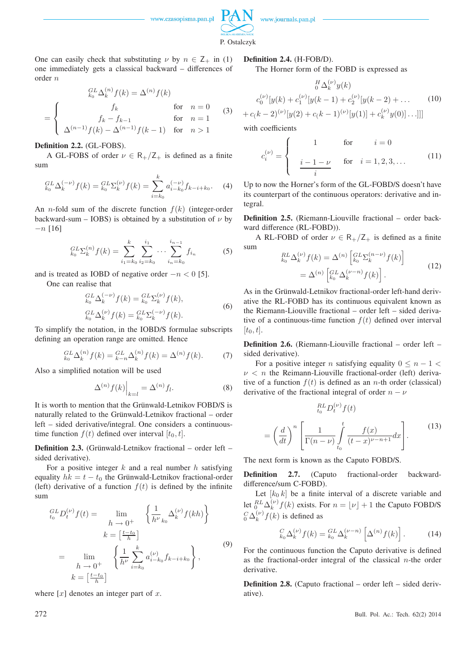

P. Ostalczyk

One can easily check that substituting  $\nu$  by  $n \in \mathsf{Z}_+$  in (1) one immediately gets a classical backward – differences of order n

$$
\begin{aligned}\n\underset{k_0}{^{GL}} \Delta_k^{(n)} f(k) &= \Delta^{(n)} f(k) \\
\text{for } n = 0 \quad (3) \\
\text{for } n = 1 \quad \text{for } n = 1 \\
\Delta^{(n-1)} f(k) - \Delta^{(n-1)} f(k-1) & \text{for } n > 1\n\end{aligned}
$$

#### **Definition 2.2.** (GL-FOBS).

A GL-FOBS of order  $\nu \in R_{+}/Z_{+}$  is defined as a finite sum

$$
{}_{k_0}^{GL} \Delta_k^{(-\nu)} f(k) = {}_{k_0}^{GL} \Sigma_k^{(\nu)} f(k) = \sum_{i=k_0}^k a_{i-k_0}^{(-\nu)} f_{k-i+k_0}.
$$
 (4)

An *n*-fold sum of the discrete function  $f(k)$  (integer-order backward-sum – IOBS) is obtained by a substitution of  $\nu$  by  $-n$  [16]

$$
{}_{k_0}^{GL} \Sigma_k^{(n)} f(k) = \sum_{i_1 = k_0}^k \sum_{i_2 = k_0}^{i_1} \cdots \sum_{i_n = k_0}^{i_{n-1}} f_{i_n}
$$
 (5)

and is treated as IOBD of negative order  $-n < 0$  [5].

One can realise that

$$
{}_{k_0}^{GL} \Delta_k^{(-\nu)} f(k) = {}_{k_0}^{GL} \Sigma_k^{(\nu)} f(k),
$$
  
\n
$$
{}_{k_0}^{GL} \Delta_k^{(\nu)} f(k) = {}_{k_0}^{GL} \Sigma_k^{(-\nu)} f(k).
$$
\n(6)

To simplify the notation, in the IOBD/S formulae subscripts defining an operation range are omitted. Hence

$$
{}_{k_0}^{GL} \Delta_k^{(n)} f(k) = {}_{k-n}^{GL} \Delta_k^{(n)} f(k) = \Delta^{(n)} f(k). \tag{7}
$$

Also a simplified notation will be used

$$
\Delta^{(n)}f(k)\Big|_{k=l} = \Delta^{(n)}f_l.
$$
\n(8)

It is worth to mention that the Grünwald-Letnikov FOBD/S is naturally related to the Grünwald-Letnikov fractional – order left – sided derivative/integral. One considers a continuoustime function  $f(t)$  defined over interval  $[t_0, t]$ .

**Definition 2.3.** (Grünwald-Letnikov fractional – order left – sided derivative).

For a positive integer  $k$  and a real number  $h$  satisfying equality  $hk = t - t_0$  the Grünwald-Letnikov fractional-order (left) derivative of a function  $f(t)$  is defined by the infinite sum

$$
{}_{t_{0}}^{GL}D_{t}^{(\nu)}f(t) = \lim_{h \to 0^{+}} \left\{ \frac{1}{h^{\nu}} \sum_{k_{0}}^{(\nu)} f(kh) \right\}
$$

$$
k = \left[\frac{t-t_{0}}{h}\right]
$$

$$
= \lim_{h \to 0^{+}} \left\{ \frac{1}{h^{\nu}} \sum_{i=k_{0}}^{k} a_{i-k_{0}}^{(\nu)} f_{k-i+k_{0}} \right\},
$$

$$
k = \left[\frac{t-t_{0}}{h}\right]
$$

$$
(9)
$$

where  $[x]$  denotes an integer part of x.

#### **Definition 2.4.** (H-FOB/D).

The Horner form of the FOBD is expressed as

$$
{}_{0}^{H} \Delta_{k}^{(\nu)} y(k)
$$
  

$$
c_{0}^{(\nu)}[y(k) + c_{1}^{(\nu)}[y(k-1) + c_{2}^{(\nu)}[y(k-2) + ...]
$$
 (10)  

$$
+ c_{k} - 2)^{(\nu)}[y(2) + c_{k} - 1)^{(\nu)}[y(1)] + c_{k}^{(\nu)}y(0)]...]]
$$

with coefficients

$$
c_i^{(\nu)} = \begin{cases} 1 & \text{for } i = 0\\ \frac{i - 1 - \nu}{i} & \text{for } i = 1, 2, 3, ... \end{cases}
$$
 (11)

Up to now the Horner's form of the GL-FOBD/S doesn't have its counterpart of the continuous operators: derivative and integral.

**Definition 2.5.** (Riemann-Liouville fractional – order backward difference (RL-FOBD)).

A RL-FOBD of order  $\nu \in R_{+}/Z_{+}$  is defined as a finite sum

$$
\begin{split} \n\underset{k_0}{^{RL}} \Delta_k^{(\nu)} f(k) &= \Delta^{(n)} \left[ \underset{k_0}{^{GL}} \Sigma_k^{(n-\nu)} f(k) \right] \\ \n&= \Delta^{(n)} \left[ \underset{k_0}{^{GL}} \Delta_k^{(\nu-n)} f(k) \right]. \n\end{split} \tag{12}
$$

As in the Grünwald-Letnikov fractional-order left-hand derivative the RL-FOBD has its continuous equivalent known as the Riemann-Liouville fractional – order left – sided derivative of a continuous-time function  $f(t)$  defined over interval  $[t_0, t]$ .

**Definition 2.6.** (Riemann-Liouville fractional – order left – sided derivative).

For a positive integer n satisfying equality  $0 \leq n - 1$  $\nu$  < *n* the Reimann-Liouville fractional-order (left) derivative of a function  $f(t)$  is defined as an *n*-th order (classical) derivative of the fractional integral of order  $n - \nu$ 

$$
\sum_{t_0}^{RL} D_t^{(\nu)} f(t)
$$
\n
$$
= \left(\frac{d}{dt}\right)^n \left[\frac{1}{\Gamma(n-\nu)} \int_{t_0}^t \frac{f(x)}{(t-x)^{\nu-n+1}} dx\right].
$$
\n(13)

The next form is known as the Caputo FOBD/S.

**Definition 2.7.** (Caputo fractional-order backwarddifference/sum C-FOBD).

Let  $[k_0, k]$  be a finite interval of a discrete variable and let  ${}_{0}^{RL}\Delta_k^{(\nu)}$  $\binom{\nu}{k} f(k)$  exists. For  $n = \lfloor \nu \rfloor + 1$  the Caputo FOBD/S  $^C_0\Delta_k^{(\nu)}$  $\binom{v}{k} f(k)$  is defined as

$$
{}_{k_0}^{C} \Delta_k^{(\nu)} f(k) = {}_{k_0}^{GL} \Delta_k^{(\nu - n)} \left[ \Delta^{(n)} f(k) \right].
$$
 (14)

For the continuous function the Caputo derivative is defined as the fractional-order integral of the classical  $n$ -the order derivative.

**Definition 2.8.** (Caputo fractional – order left – sided derivative).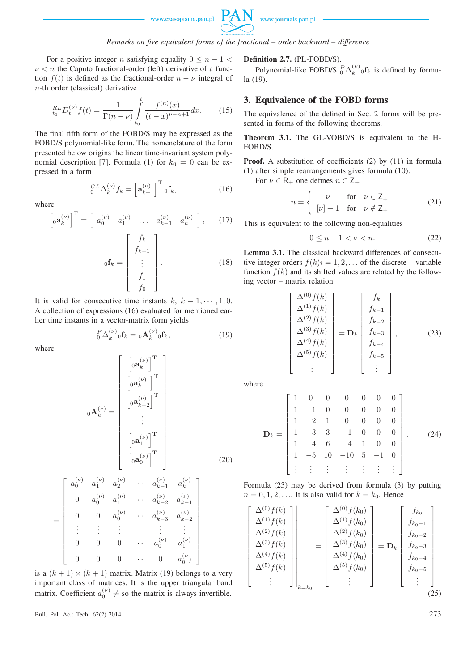

## *Remarks on five equivalent forms of the fractional – order backward – difference*

For a positive integer n satisfying equality  $0 \leq n - 1$  $\nu < n$  the Caputo fractional-order (left) derivative of a function  $f(t)$  is defined as the fractional-order  $n - \nu$  integral of n-th order (classical) derivative

$$
{}_{t_0}^{RL}D_t^{(\nu)}f(t) = \frac{1}{\Gamma(n-\nu)} \int_{t_0}^t \frac{f^{(n)}(x)}{(t-x)^{\nu-n+1}} dx.
$$
 (15)

The final fifth form of the FOBD/S may be expressed as the FOBD/S polynomial-like form. The nomenclature of the form presented below origins the linear time-invariant system polynomial description [7]. Formula (1) for  $k_0 = 0$  can be expressed in a form

$$
{}_{0}^{GL}\Delta_{k}^{(\nu)}f_{k} = \left[\mathbf{a}_{k+1}^{(\nu)}\right]^{\mathrm{T}}{}_{0}\mathbf{f}_{k},\tag{16}
$$

where

$$
\begin{bmatrix} a_k^{(\nu)} \end{bmatrix}^{\mathrm{T}} = \begin{bmatrix} a_0^{(\nu)} & a_1^{(\nu)} & \dots & a_{k-1}^{(\nu)} & a_k^{(\nu)} \end{bmatrix}, \qquad (17)
$$

$$
{}_{0} \mathbf{f}_k = \begin{bmatrix} f_k \\ f_{k-1} \\ \vdots \\ f_1 \\ f_0 \end{bmatrix} . \qquad (18)
$$

It is valid for consecutive time instants  $k, k - 1, \dots, 1, 0$ . A collection of expressions (16) evaluated for mentioned earlier time instants in a vector-matrix form yields

$$
{}_{0}^{P} \Delta_{k}^{(\nu)} {}_{0} \mathbf{f}_{k} = {}_{0} \mathbf{A}_{k}^{(\nu)} {}_{0} \mathbf{f}_{k}, \qquad (19)
$$

where

$$
{}_{0}\mathbf{A}_{k}^{(\nu)} = \begin{bmatrix} \begin{bmatrix} {}_{0}\mathbf{a}_{k}^{(\nu)} \end{bmatrix}^{\mathrm{T}} \\ \begin{bmatrix} {}_{0}\mathbf{a}_{k-1}^{(\nu)} \end{bmatrix}^{\mathrm{T}} \\ \begin{bmatrix} {}_{0}\mathbf{a}_{k-2}^{(\nu)} \end{bmatrix}^{\mathrm{T}} \\ \vdots \\ \begin{bmatrix} {}_{0}\mathbf{a}_{1}^{(\nu)} \end{bmatrix}^{\mathrm{T}} \\ \begin{bmatrix} {}_{0}\mathbf{a}_{0}^{(\nu)} \end{bmatrix}^{\mathrm{T}} \end{bmatrix}
$$
 (20)

$$
= \begin{bmatrix} a_0^{(\nu)} & a_1^{(\nu)} & a_2^{(\nu)} & \cdots & a_{k-1}^{(\nu)} & a_k^{(\nu)} \\ 0 & a_0^{(\nu)} & a_1^{(\nu)} & \cdots & a_{k-2}^{(\nu)} & a_{k-1}^{(\nu)} \\ 0 & 0 & a_0^{(\nu)} & \cdots & a_{k-3}^{(\nu)} & a_{k-2}^{(\nu)} \\ \vdots & \vdots & \vdots & \vdots & \vdots & \vdots \\ 0 & 0 & 0 & \cdots & a_0^{(\nu)} & a_1^{(\nu)} \\ 0 & 0 & 0 & \cdots & 0 & a_0^{(\nu)} \end{bmatrix}
$$

is a  $(k + 1) \times (k + 1)$  matrix. Matrix (19) belongs to a very important class of matrices. It is the upper triangular band matrix. Coefficient  $a_0^{(\nu)} \neq$  so the matrix is always invertible.

Bull. Pol. Ac.: Tech. 62(2) 2014 273

#### **Definition 2.7.** (PL-FOBD/S).

Polynomial-like FOBD/S  ${}_{0}^{P} \Delta_{k}^{(\nu)}{}_{0} \mathbf{f}_{k}$  is defined by formula (19).

## **3. Equivalence of the FOBD forms**

The equivalence of the defined in Sec. 2 forms will be presented in forms of the following theorems.

**Theorem 3.1.** The GL-VOBD/S is equivalent to the H-FOBD/S.

**Proof.** A substitution of coefficients (2) by (11) in formula (1) after simple rearrangements gives formula (10).

For  $\nu \in R_+$  one defines  $n \in Z_+$ 

$$
n = \begin{cases} \nu & \text{for } \nu \in \mathbb{Z}_+ \\ [\nu] + 1 & \text{for } \nu \notin \mathbb{Z}_+ \end{cases} . \tag{21}
$$

This is equivalent to the following non-equalities

$$
0 \le n - 1 < \nu < n. \tag{22}
$$

**Lemma 3.1.** The classical backward differences of consecutive integer orders  $f(k)i = 1, 2, \ldots$  of the discrete – variable function  $f(k)$  and its shifted values are related by the following vector – matrix relation

$$
\begin{bmatrix}\n\Delta^{(0)} f(k) \\
\Delta^{(1)} f(k) \\
\Delta^{(2)} f(k) \\
\Delta^{(3)} f(k) \\
\Delta^{(4)} f(k) \\
\Delta^{(5)} f(k) \\
\vdots\n\end{bmatrix} = \mathbf{D}_k \begin{bmatrix}\nf_k \\
f_{k-1} \\
f_{k-2} \\
f_{k-3} \\
f_{k-4} \\
f_{k-5} \\
f_{k-5} \\
\vdots\n\end{bmatrix},
$$
\n(23)

where

$$
\mathbf{D}_{k} = \begin{bmatrix} 1 & 0 & 0 & 0 & 0 & 0 & 0 \\ 1 & -1 & 0 & 0 & 0 & 0 & 0 \\ 1 & -2 & 1 & 0 & 0 & 0 & 0 \\ 1 & -3 & 3 & -1 & 0 & 0 & 0 \\ 1 & -4 & 6 & -4 & 1 & 0 & 0 \\ 1 & -5 & 10 & -10 & 5 & -1 & 0 \\ \vdots & \vdots & \vdots & \vdots & \vdots & \vdots & \vdots \end{bmatrix} . \tag{24}
$$

Formula (23) may be derived from formula (3) by putting  $n = 0, 1, 2, \ldots$  It is also valid for  $k = k_0$ . Hence

$$
\begin{bmatrix}\n\Delta^{(0)} f(k) \\
\Delta^{(1)} f(k) \\
\Delta^{(2)} f(k) \\
\Delta^{(3)} f(k) \\
\Delta^{(4)} f(k) \\
\Delta^{(5)} f(k) \\
\vdots\n\end{bmatrix}\n\begin{bmatrix}\n\Delta^{(0)} f(k_0) \\
\Delta^{(1)} f(k_0) \\
\Delta^{(2)} f(k_0) \\
\Delta^{(3)} f(k_0) \\
\Delta^{(4)} f(k_0) \\
\Delta^{(5)} f(k_0)\n\end{bmatrix} = \mathbf{D}_k \begin{bmatrix}\nf_{k_0} \\
f_{k_0-1} \\
f_{k_0-2} \\
f_{k_0-3} \\
f_{k_0-4} \\
f_{k_0-5} \\
\vdots\n\end{bmatrix}.
$$
\n(25)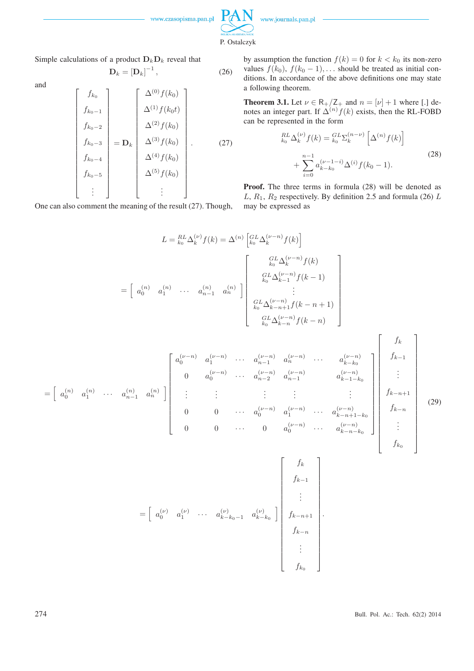

Simple calculations of a product  $D_kD_k$  reveal that

$$
\mathbf{D}_k = \left[\mathbf{D}_k\right]^{-1},\tag{26}
$$

and

$$
\begin{bmatrix}\nf_{k_0} \\
f_{k_0-1} \\
f_{k_0-2} \\
f_{k_0-3} \\
f_{k_0-4} \\
f_{k_0-5} \\
\vdots\n\end{bmatrix} = \mathbf{D}_k \begin{bmatrix}\n\Delta^{(0)} f(k_0) \\
\Delta^{(1)} f(k_0 t) \\
\Delta^{(2)} f(k_0) \\
\Delta^{(3)} f(k_0) \\
\Delta^{(4)} f(k_0) \\
\Delta^{(5)} f(k_0)\n\end{bmatrix} .
$$
\n(27)

One can also comment the meaning of the result (27). Though,

by assumption the function  $f(k) = 0$  for  $k < k_0$  its non-zero values  $f(k_0)$ ,  $f(k_0 - 1)$ , ... should be treated as initial conditions. In accordance of the above definitions one may state a following theorem.

**Theorem 3.1.** Let  $\nu \in R_+/Z_+$  and  $n = [\nu] + 1$  where [.] denotes an integer part. If  $\Delta^{(n)} f(k)$  exists, then the RL-FOBD can be represented in the form

$$
{}_{k_0}^{RL} \Delta_k^{(\nu)} f(k) = {}_{k_0}^{GL} \Sigma_k^{(n-\nu)} \left[ \Delta^{(n)} f(k) \right] + \sum_{i=0}^{n-1} a_{k-k_0}^{(\nu-1-i)} \Delta^{(i)} f(k_0 - 1).
$$
 (28)

**Proof.** The three terms in formula (28) will be denoted as L,  $R_1$ ,  $R_2$  respectively. By definition 2.5 and formula (26) L may be expressed as

$$
L = \frac{R_L}{k_0} \Delta_k^{(\nu)} f(k) = \Delta^{(n)} \begin{bmatrix} G_L L \Delta_k^{(\nu - n)} f(k) \\ G_L \Delta_k^{(\nu - n)} f(k) \\ G_L L \Delta_{k-1}^{(\nu - n)} f(k-1) \\ \vdots \\ G_L L \Delta_{k-n}^{(\nu - n)} f(k-n) \end{bmatrix}
$$

$$
= \begin{bmatrix} a_0^{(n)} & a_1^{(n)} & \cdots & a_{n-1}^{(n)} & a_n^{(n)} \end{bmatrix} \begin{bmatrix} G_L L \Delta_k^{(\nu - n)} f(k) \\ G_L L \Delta_{k-1}^{(\nu - n)} f(k-1) \\ \vdots \\ G_L L \Delta_{k-n+1}^{(\nu - n)} f(k-n) \end{bmatrix}
$$

$$
= \begin{bmatrix} a_0^{(n)} & a_1^{(n)} & \cdots & a_{n-1}^{(n)} & a_0^{(n)} & \cdots & a_{n-2}^{(n)} & a_{n-1}^{(n)} & \cdots & a_{n-k_0}^{(n)} \end{bmatrix} \begin{bmatrix} f_k \\ f_{k-1} \\ \vdots \\ f_{k-1} \\ f_{k-1} \\ \vdots \\ f_{k-1} \end{bmatrix}
$$

$$
= \begin{bmatrix} a_0^{(n)} & a_1^{(n)} & \cdots & a_{n-1}^{(n)} & a_0^{(n)} & \cdots & a_0^{(n)} & \cdots & a_{n-k_0}^{(n)} \end{bmatrix} \begin{bmatrix} f_k \\ f_{k-1} \\ \vdots \\ f_{k-1} \\ f_{k-1} \\ \vdots \\ f_{k-1} \\ f_{k-1} \\ \vdots \\ f_{k-1} \end{bmatrix}
$$

$$
= \begin{bmatrix} f_k \\ g_k^{(n)} & a_1^{(n)} & \cdots & a_k^{(n)} \end{bmatrix} \begin{bmatrix} f_k \\ f_{k-1} \\ \vdots \\ f_{k-1} \\ f_{k-1} \\ \vdots \\ f_{k-1} \\ f_{k-1} \\ \vdots \\ f_{k_0} \end{bmatrix}
$$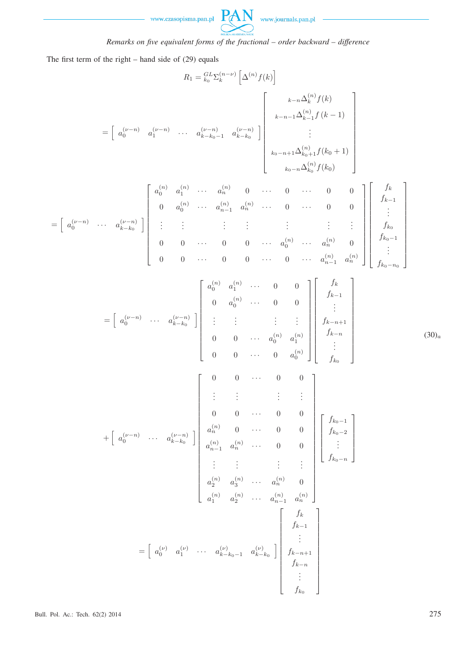



*Remarks on five equivalent forms of the fractional – order backward – difference*

The first term of the right – hand side of (29) equals

$$
R_{1} = \frac{C_{b}^{t} \sum_{k=1}^{n} \left[\Delta^{(n)} f(k)\right]
$$
\n
$$
= \left[a_{0}^{(\nu-n)} a_{1}^{(\nu-n)} \cdots a_{k-k_{0}-1}^{(\nu-n)} a_{k-k_{0}}^{(\nu-n)}\right] \left[\begin{array}{c} \sum_{k=n-1}^{k=n} \Delta_{k-1}^{(n)} f(k+1) \\ \sum_{k=1}^{n} \Delta_{k-1}^{(n)} f(k+1) \\ \vdots \\ \sum_{k_{0}-n} \Delta_{k-1}^{(n)} f(k_{0}+1) \\ \vdots \\ \sum_{k_{0}-n} \Delta_{k-1}^{(n)} f(k_{0}) \end{array}\right]
$$
\n
$$
= \left[a_{0}^{(\nu-n)} \cdots a_{k-k_{0}}^{(\nu-n)}\right] \left[\begin{array}{cccc} \vdots & \vdots & \vdots & \vdots & \vdots \\ \vdots & \vdots & \vdots & \vdots & \vdots \\ \vdots & \vdots & \vdots & \vdots & \vdots \\ \vdots & \vdots & \vdots & \vdots & \vdots \\ \vdots & \vdots & \vdots & \vdots & \vdots \\ \vdots & \vdots & \vdots & \vdots & \vdots \\ \vdots & \vdots & \vdots & \vdots & \vdots \\ \vdots & \vdots & \vdots & \vdots & \vdots \\ \vdots & \vdots & \vdots & \vdots & \vdots \\ \vdots & \vdots & \vdots & \vdots & \vdots \\ \vdots & \vdots & \vdots & \vdots & \vdots \\ \vdots & \vdots & \vdots & \vdots & \vdots \\ \vdots & \vdots & \vdots & \vdots & \vdots \\ \vdots & \vdots & \vdots & \vdots & \vdots \\ \vdots & \vdots & \vdots & \vdots & \vdots \\ \vdots & \vdots & \vdots & \vdots & \vdots \\ \vdots & \vdots & \vdots & \vdots & \vdots \\ \vdots & \vdots & \vdots & \vdots & \vdots \\ \vdots & \vdots & \vdots & \vdots & \vdots \\ \vdots & \vdots & \vdots & \vdots & \vdots \\ \vdots & \vdots & \vdots & \vdots & \vdots \\ \vdots & \vdots & \vdots & \vdots & \vdots \\ \vdots & \vdots & \vdots & \vdots \\ \vdots & \vdots & \vdots & \vdots \\ \vdots & \
$$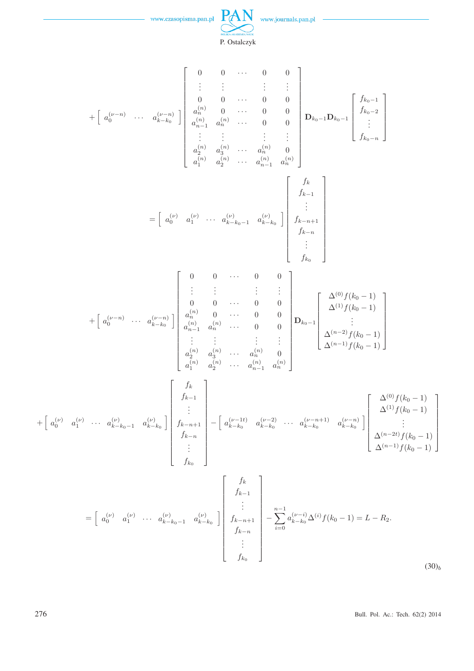

 $PAN$  www.journals.pan.pl

 $\overline{a}$ 

P. Ostalczyk

$$
+\begin{bmatrix} a_0^{(p-n)} & \cdots & a_{k-b_0}^{(p-n)} \end{bmatrix} \begin{bmatrix} 0 & 0 & \cdots & 0 & 0 \\ 0 & 0 & \cdots & 0 & 0 \\ a_0^{(n)} & 0 & \cdots & 0 & 0 \\ a_0^{(n)} & 0 & \cdots & 0 & 0 \\ \vdots & \vdots & \vdots & \vdots & \vdots & \vdots \\ a_0^{(n)} & a_0^{(n)} & \cdots & a_0^{(n)} & 0 \\ a_1^{(n)} & a_2^{(n)} & \cdots & a_{n-1}^{(n)} & a_0^{(n)} \end{bmatrix} \begin{bmatrix} f_{k-1} \\ f_{k-2} \\ \vdots \\ f_{k-1} \\ f_{k-1} \\ \vdots \\ f_{k-1} \\ f_{k-1} \end{bmatrix}
$$

$$
=\begin{bmatrix} a_0^{(p)} & a_1^{(p)} & \cdots & a_{k-b_0}^{(p)} & a_{k-b_0}^{(p)} & a_{k-b_0}^{(p)} \\ \vdots & \vdots & \vdots & \vdots \\ a_0^{(n)} & a_1^{(n)} & a_2^{(n)} & \cdots & a_0^{(n)} & 0 \\ \vdots & \vdots & \vdots & \vdots & \vdots \\ a_0^{(n)} & a_2^{(n)} & \cdots & a_{n-1}^{(n)} & a_0^{(n)} \end{bmatrix} \begin{bmatrix} f_k \\ f_{k-1} \\ \vdots \\ f_{k-1} \\ f_{k-1} \\ \vdots \\ f_{k-1} \\ f_{k-1} \end{bmatrix}
$$

$$
+\begin{bmatrix} a_0^{(p-n)} & \cdots & a_{k-b_0}^{(p-n)} & a_{k-b_0}^{(n)} & a_{k-b_0}^{(n)} & a_{k-b_0}^{(n)} \\ \vdots & \vdots & \vdots & \vdots & \vdots \\ a_0^{(n)} & a_0^{(n)} & \cdots & a_0^{(n)} & a_0^{(n)} \end{bmatrix} \begin{bmatrix} f_k \\ f_{k-1} \\ \vdots \\ f_{k-1} \\ \vdots \\ f_{k-b_0} \end{bmatrix}
$$

$$
+\begin{bmatrix} f_k \\ g_0^{(n)} & a_1^{(n)} & \cdots & a_{k-b_0}^{(n)} & a_{k-b_0}^{(
$$

276 Bull. Pol. Ac.: Tech. 62(2) 2014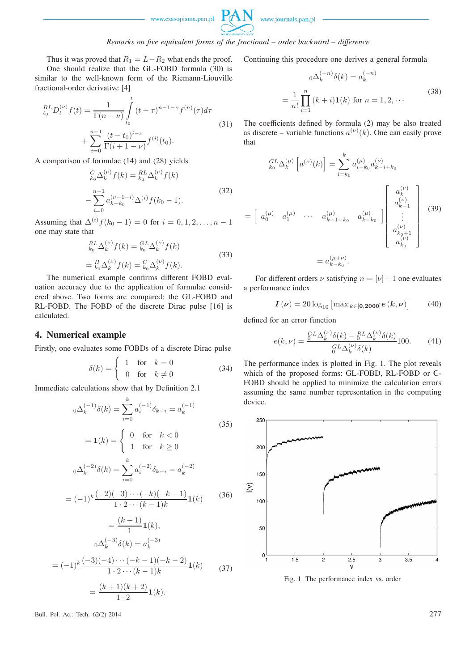

## *Remarks on five equivalent forms of the fractional – order backward – difference*

Thus it was proved that  $R_1 = L - R_2$  what ends the proof. One should realize that the GL-FOBD formula (30) is similar to the well-known form of the Riemann-Liouville fractional-order derivative [4]

$$
{}_{t_0}^{RL} D_t^{(\nu)} f(t) = \frac{1}{\Gamma(n-\nu)} \int_{t_0}^t (t-\tau)^{n-1-\nu} f^{(n)}(\tau) d\tau
$$
  
+ 
$$
\sum_{i=0}^{n-1} \frac{(t-t_0)^{i-\nu}}{\Gamma(i+1-\nu)} f^{(i)}(t_0).
$$
 (31)

A comparison of formulae (14) and (28) yields

$$
{}_{k_0}^{C} \Delta_k^{(\nu)} f(k) = {}_{k_0}^{RL} \Delta_k^{(\nu)} f(k)
$$
  

$$
- \sum_{i=0}^{n-1} a_{k-k_0}^{(\nu-1-i)} \Delta^{(i)} f(k_0 - 1).
$$
 (32)

Assuming that  $\Delta^{(i)} f(k_0 - 1) = 0$  for  $i = 0, 1, 2, ..., n - 1$ one may state that

$$
{}_{k_0}^{RL} \Delta_k^{(\nu)} f(k) = {}_{k_0}^{GL} \Delta_k^{(\nu)} f(k)
$$
  
= 
$$
{}_{k_0}^{H} \Delta_k^{(\nu)} f(k) = {}_{k_0}^{C} \Delta_k^{(\nu)} f(k).
$$
 (33)

The numerical example confirms different FOBD evaluation accuracy due to the application of formulae considered above. Two forms are compared: the GL-FOBD and RL-FOBD. The FOBD of the discrete Dirac pulse [16] is calculated.

### **4. Numerical example**

Firstly, one evaluates some FOBDs of a discrete Dirac pulse

$$
\delta(k) = \begin{cases} 1 & \text{for } k = 0 \\ 0 & \text{for } k \neq 0 \end{cases}
$$
 (34)

Immediate calculations show that by Definition 2.1

$$
{}_{0}\Delta_{k}^{(-1)}\delta(k) = \sum_{i=0}^{k} a_{i}^{(-1)}\delta_{k-i} = a_{k}^{(-1)}
$$
\n
$$
= \mathbf{1}(k) = \begin{cases} 0 & \text{for } k < 0\\ 1 & \text{for } k \ge 0 \end{cases}
$$
\n
$$
{}_{0}\Delta_{k}^{(-2)}\delta(k) = \sum_{i=0}^{k} a_{i}^{(-2)}\delta_{k-i} = a_{k}^{(-2)}
$$
\n
$$
= (-1)^{k} \frac{(-2)(-3)\cdots(-k)(-k-1)}{1 \cdot 2 \cdots (k-1)k} \mathbf{1}(k)
$$
\n
$$
= \frac{(k+1)}{1} \mathbf{1}(k),
$$
\n
$$
{}_{0}\Delta_{k}^{(-3)}\delta(k) = a_{k}^{(-3)}
$$
\n
$$
= (-1)^{k} \frac{(-3)(-4)\cdots(-k-1)(-k-2)}{1 \cdot 2 \cdots (k-1)k} \mathbf{1}(k)
$$
\n
$$
= \frac{(k+1)(k+2)}{1 \cdot 2} \mathbf{1}(k).
$$
\n(37)

Continuing this procedure one derives a general formula

$$
{}_{0}\Delta_{k}^{(-n)}\delta(k) = a_{k}^{(-n)}
$$
  
= 
$$
\frac{1}{n!} \prod_{i=1}^{n} (k+i) \mathbf{1}(k)
$$
 for  $n = 1, 2, \cdots$  (38)

The coefficients defined by formula (2) may be also treated as discrete – variable functions  $a^{(\nu)}(k)$ . One can easily prove that

$$
\begin{aligned}\n\begin{bmatrix}\nGL \Delta_k^{(\mu)} \left[ a^{(\nu)}(k) \right] &= \sum_{i=k_0}^k a_{i-k_0}^{(\mu)} a_{k-i+k_0}^{(\nu)} \\
&= \left[ a_0^{(\mu)} \quad a_1^{(\mu)} \quad \cdots \quad a_{k-1-k_0}^{(\mu)} \quad a_{k-k_0}^{(\mu)} \right] \begin{bmatrix}\n a_k^{(\nu)} \\
 a_{k-1}^{(\nu)} \\
\vdots \\
 a_{k_0+1}^{(\nu)} \\
 a_{k_0}^{(\nu)}\n\end{bmatrix}\n\end{aligned}\n\end{aligned} \tag{39}
$$
\n
$$
= a_{k-k_0}^{(\mu+\nu)}.
$$

For different orders  $\nu$  satisfying  $n = |\nu| + 1$  one evaluates a performance index

$$
I(\nu) = 20 \log_{10} \left[ \max_{k \in [0, 2000]} e(k, \nu) \right] \tag{40}
$$

defined for an error function

$$
e(k,\nu) = \frac{{}^{GL}_{0}\Delta_{k}^{(\nu)}\delta(k) - {}^{RL}_{0}\Delta_{k}^{(\nu)}\delta(k)}{{}^{GL}_{0}\Delta_{k}^{(\nu)}\delta(k)}100.
$$
 (41)

The performance index is plotted in Fig. 1. The plot reveals which of the proposed forms: GL-FOBD, RL-FOBD or C-FOBD should be applied to minimize the calculation errors assuming the same number representation in the computing device.



Fig. 1. The performance index vs. order

Bull. Pol. Ac.: Tech. 62(2) 2014 277